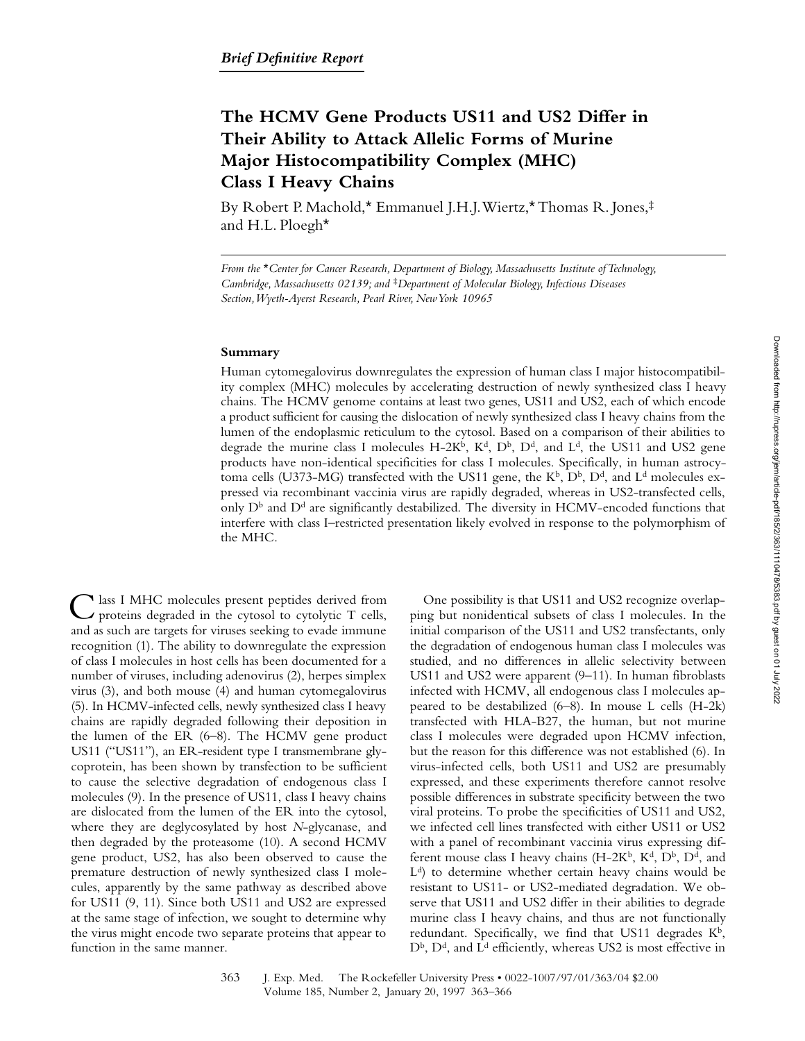# **The HCMV Gene Products US11 and US2 Differ in Their Ability to Attack Allelic Forms of Murine Major Histocompatibility Complex (MHC) Class I Heavy Chains**

By Robert P. Machold,\* Emmanuel J.H.J. Wiertz,\* Thomas R. Jones,‡ and H.L. Ploegh\*

*From the* \**Center for Cancer Research, Department of Biology, Massachusetts Institute of Technology, Cambridge, Massachusetts 02139; and* ‡*Department of Molecular Biology, Infectious Diseases Section, Wyeth-Ayerst Research, Pearl River, New York 10965*

## **Summary**

Human cytomegalovirus downregulates the expression of human class I major histocompatibility complex (MHC) molecules by accelerating destruction of newly synthesized class I heavy chains. The HCMV genome contains at least two genes, US11 and US2, each of which encode a product sufficient for causing the dislocation of newly synthesized class I heavy chains from the lumen of the endoplasmic reticulum to the cytosol. Based on a comparison of their abilities to degrade the murine class I molecules  $H-2K^b$ ,  $K^d$ ,  $D^b$ ,  $D^d$ , and  $L^d$ , the US11 and US2 gene products have non-identical specificities for class I molecules. Specifically, in human astrocytoma cells (U373-MG) transfected with the US11 gene, the  $K^b$ ,  $D^b$ ,  $D^d$ , and  $L^d$  molecules expressed via recombinant vaccinia virus are rapidly degraded, whereas in US2-transfected cells, only  $D^b$  and  $D^d$  are significantly destabilized. The diversity in HCMV-encoded functions that interfere with class I–restricted presentation likely evolved in response to the polymorphism of the MHC.

Class I MHC molecules present peptides derived from proteins degraded in the cytosol to cytolytic T cells, and as such are targets for viruses seeking to evade immune recognition (1). The ability to downregulate the expression of class I molecules in host cells has been documented for a number of viruses, including adenovirus (2), herpes simplex virus (3), and both mouse (4) and human cytomegalovirus (5). In HCMV-infected cells, newly synthesized class I heavy chains are rapidly degraded following their deposition in the lumen of the ER (6–8). The HCMV gene product US11 ("US11"), an ER-resident type I transmembrane glycoprotein, has been shown by transfection to be sufficient to cause the selective degradation of endogenous class I molecules (9). In the presence of US11, class I heavy chains are dislocated from the lumen of the ER into the cytosol, where they are deglycosylated by host *N*-glycanase, and then degraded by the proteasome (10). A second HCMV gene product, US2, has also been observed to cause the premature destruction of newly synthesized class I molecules, apparently by the same pathway as described above for US11 (9, 11). Since both US11 and US2 are expressed at the same stage of infection, we sought to determine why the virus might encode two separate proteins that appear to function in the same manner.

One possibility is that US11 and US2 recognize overlapping but nonidentical subsets of class I molecules. In the initial comparison of the US11 and US2 transfectants, only the degradation of endogenous human class I molecules was studied, and no differences in allelic selectivity between US11 and US2 were apparent (9–11). In human fibroblasts infected with HCMV, all endogenous class I molecules appeared to be destabilized (6–8). In mouse L cells (H-2k) transfected with HLA-B27, the human, but not murine class I molecules were degraded upon HCMV infection, but the reason for this difference was not established (6). In virus-infected cells, both US11 and US2 are presumably expressed, and these experiments therefore cannot resolve possible differences in substrate specificity between the two viral proteins. To probe the specificities of US11 and US2, we infected cell lines transfected with either US11 or US2 with a panel of recombinant vaccinia virus expressing different mouse class I heavy chains (H-2K<sup>b</sup>, K<sup>d</sup>, D<sup>b</sup>, D<sup>d</sup>, and  $L<sup>d</sup>$ ) to determine whether certain heavy chains would be resistant to US11- or US2-mediated degradation. We observe that US11 and US2 differ in their abilities to degrade murine class I heavy chains, and thus are not functionally redundant. Specifically, we find that US11 degrades  $K^b$ ,  $D^b$ ,  $D^d$ , and  $L^d$  efficiently, whereas US2 is most effective in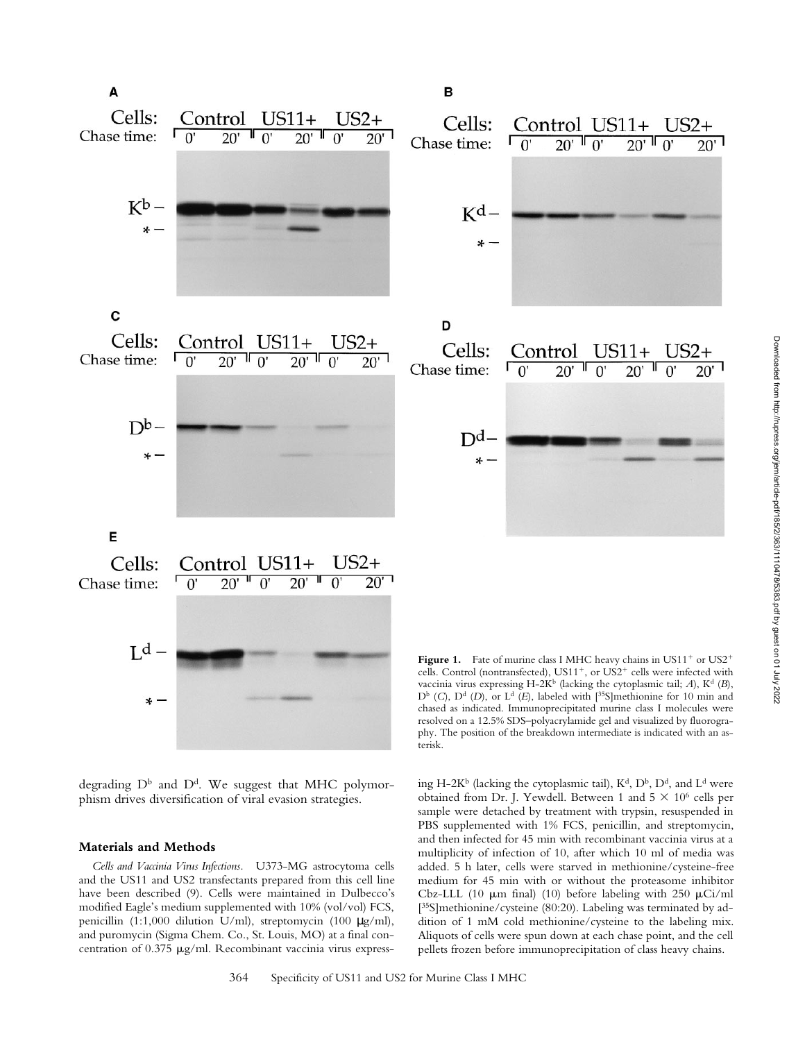

degrading  $D^b$  and  $D^d$ . We suggest that MHC polymorphism drives diversification of viral evasion strategies.

# **Materials and Methods**

*Cells and Vaccinia Virus Infections.* U373-MG astrocytoma cells and the US11 and US2 transfectants prepared from this cell line have been described (9). Cells were maintained in Dulbecco's modified Eagle's medium supplemented with 10% (vol/vol) FCS, penicillin (1:1,000 dilution U/ml), streptomycin (100 µg/ml), and puromycin (Sigma Chem. Co., St. Louis, MO) at a final concentration of 0.375 µg/ml. Recombinant vaccinia virus express-

ing H-2K<sup>b</sup> (lacking the cytoplasmic tail),  $K^d$ ,  $D^b$ ,  $D^d$ , and  $L^d$  were vaccinia virus expressing H-2K<sup>b</sup> (lacking the cytoplasmic tail;  $A$ ), K<sup>d</sup> (*B*), D<sup>b</sup> (*C*), D<sup>d</sup> (*D*), or L<sup>d</sup> (*E*), labeled with [<sup>35</sup>S]methionine for 10 min and chased as indicated. Immunoprecipitated murine class I molecules were resolved on a 12.5% SDS–polyacrylamide gel and visualized by fluorography. The position of the breakdown intermediate is indicated with an asterisk.

obtained from Dr. J. Yewdell. Between 1 and  $5 \times 10^6$  cells per sample were detached by treatment with trypsin, resuspended in PBS supplemented with 1% FCS, penicillin, and streptomycin, and then infected for 45 min with recombinant vaccinia virus at a multiplicity of infection of 10, after which 10 ml of media was added. 5 h later, cells were starved in methionine/cysteine-free medium for 45 min with or without the proteasome inhibitor Cbz-LLL (10  $\mu$ m final) (10) before labeling with 250  $\mu$ Ci/ml [<sup>35</sup>S]methionine/cysteine (80:20). Labeling was terminated by addition of 1 mM cold methionine/cysteine to the labeling mix. Aliquots of cells were spun down at each chase point, and the cell pellets frozen before immunoprecipitation of class heavy chains.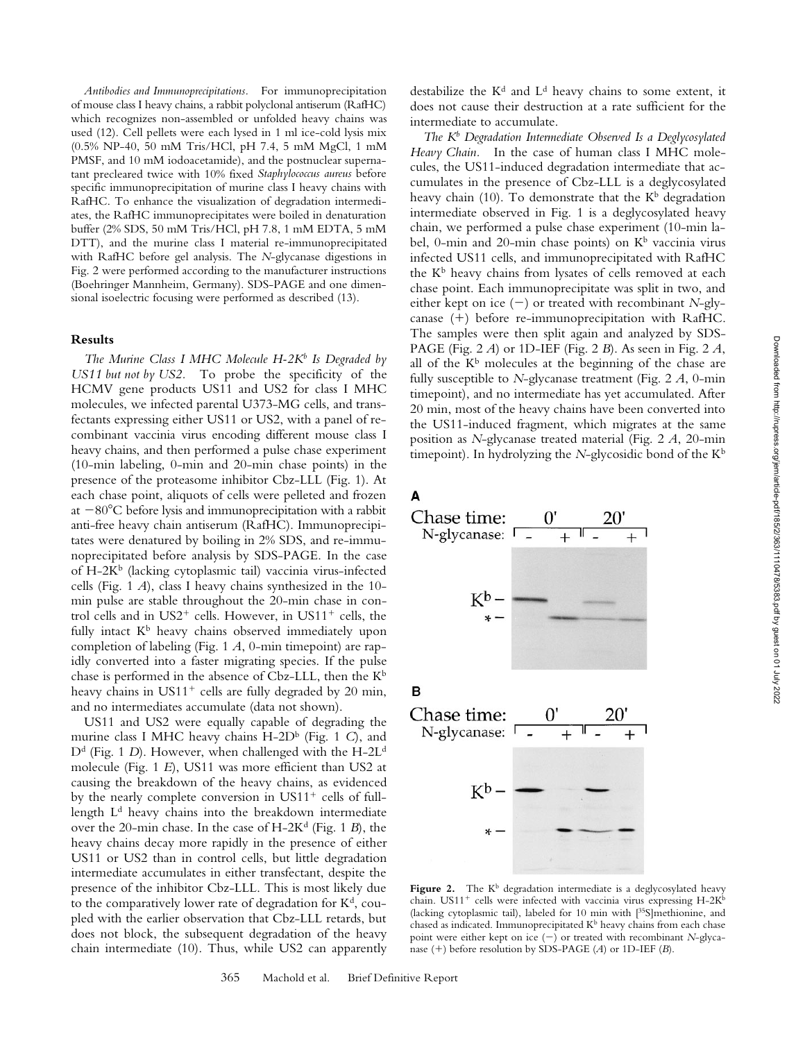*Antibodies and Immunoprecipitations.* For immunoprecipitation of mouse class I heavy chains, a rabbit polyclonal antiserum (RafHC) which recognizes non-assembled or unfolded heavy chains was used (12). Cell pellets were each lysed in 1 ml ice-cold lysis mix (0.5% NP-40, 50 mM Tris/HCl, pH 7.4, 5 mM MgCl, 1 mM PMSF, and 10 mM iodoacetamide), and the postnuclear supernatant precleared twice with 10% fixed *Staphylococcus aureus* before specific immunoprecipitation of murine class I heavy chains with RafHC. To enhance the visualization of degradation intermediates, the RafHC immunoprecipitates were boiled in denaturation buffer (2% SDS, 50 mM Tris/HCl, pH 7.8, 1 mM EDTA, 5 mM DTT), and the murine class I material re-immunoprecipitated with RafHC before gel analysis. The *N*-glycanase digestions in Fig. 2 were performed according to the manufacturer instructions (Boehringer Mannheim, Germany). SDS-PAGE and one dimensional isoelectric focusing were performed as described (13).

#### **Results**

The Murine Class I MHC Molecule H-2K<sup>b</sup> Is Degraded by *US11 but not by US2.* To probe the specificity of the HCMV gene products US11 and US2 for class I MHC molecules, we infected parental U373-MG cells, and transfectants expressing either US11 or US2, with a panel of recombinant vaccinia virus encoding different mouse class I heavy chains, and then performed a pulse chase experiment (10-min labeling, 0-min and 20-min chase points) in the presence of the proteasome inhibitor Cbz-LLL (Fig. 1). At each chase point, aliquots of cells were pelleted and frozen at  $-80^{\circ}$ C before lysis and immunoprecipitation with a rabbit anti-free heavy chain antiserum (RafHC). Immunoprecipitates were denatured by boiling in 2% SDS, and re-immunoprecipitated before analysis by SDS-PAGE. In the case of H-2K<sup>b</sup> (lacking cytoplasmic tail) vaccinia virus-infected cells (Fig. 1 *A*), class I heavy chains synthesized in the 10 min pulse are stable throughout the 20-min chase in control cells and in  $US2^+$  cells. However, in  $US11^+$  cells, the fully intact  $K^b$  heavy chains observed immediately upon completion of labeling (Fig. 1 *A*, 0-min timepoint) are rapidly converted into a faster migrating species. If the pulse chase is performed in the absence of Cbz-LLL, then the  $K^b$ heavy chains in  $US11<sup>+</sup>$  cells are fully degraded by 20 min, and no intermediates accumulate (data not shown).

US11 and US2 were equally capable of degrading the murine class I MHC heavy chains H-2D<sup>b</sup> (Fig. 1 C), and D<sup>d</sup> (Fig. 1 *D*). However, when challenged with the H-2L<sup>d</sup> molecule (Fig. 1 *E*), US11 was more efficient than US2 at causing the breakdown of the heavy chains, as evidenced by the nearly complete conversion in  $US11<sup>+</sup>$  cells of fulllength  $L<sup>d</sup>$  heavy chains into the breakdown intermediate over the 20-min chase. In the case of  $H-2K<sup>d</sup>$  (Fig. 1 *B*), the heavy chains decay more rapidly in the presence of either US11 or US2 than in control cells, but little degradation intermediate accumulates in either transfectant, despite the presence of the inhibitor Cbz-LLL. This is most likely due to the comparatively lower rate of degradation for  $K<sup>d</sup>$ , coupled with the earlier observation that Cbz-LLL retards, but does not block, the subsequent degradation of the heavy chain intermediate (10). Thus, while US2 can apparently destabilize the K<sup>d</sup> and L<sup>d</sup> heavy chains to some extent, it does not cause their destruction at a rate sufficient for the intermediate to accumulate.

*The Kb Degradation Intermediate Observed Is a Deglycosylated Heavy Chain.* In the case of human class I MHC molecules, the US11-induced degradation intermediate that accumulates in the presence of Cbz-LLL is a deglycosylated heavy chain (10). To demonstrate that the  $K^b$  degradation intermediate observed in Fig. 1 is a deglycosylated heavy chain, we performed a pulse chase experiment (10-min label, 0-min and 20-min chase points) on  $K^b$  vaccinia virus infected US11 cells, and immunoprecipitated with RafHC the K<sup>b</sup> heavy chains from lysates of cells removed at each chase point. Each immunoprecipitate was split in two, and either kept on ice  $(-)$  or treated with recombinant *N*-glycanase  $(+)$  before re-immunoprecipitation with RafHC. The samples were then split again and analyzed by SDS-PAGE (Fig. 2 *A*) or 1D-IEF (Fig. 2 *B*). As seen in Fig. 2 *A*, all of the  $K^b$  molecules at the beginning of the chase are fully susceptible to *N*-glycanase treatment (Fig. 2 *A*, 0-min timepoint), and no intermediate has yet accumulated. After 20 min, most of the heavy chains have been converted into the US11-induced fragment, which migrates at the same position as *N*-glycanase treated material (Fig. 2 *A*, 20-min timepoint). In hydrolyzing the *N*-glycosidic bond of the Kb

A



**Figure 2.** The  $K^b$  degradation intermediate is a deglycosylated heavy chain.  $US11^+$  cells were infected with vaccinia virus expressing H-2Kb (lacking cytoplasmic tail), labeled for 10 min with [35S]methionine, and chased as indicated. Immunoprecipitated  $K^b$  heavy chains from each chase point were either kept on ice (2) or treated with recombinant *N*-glycanase (+) before resolution by SDS-PAGE (*A*) or 1D-IEF (*B*).